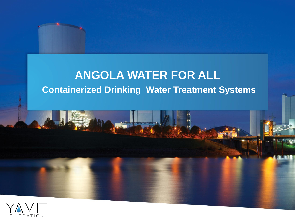# **ANGOLA WATER FOR ALL Containerized Drinking Water Treatment Systems**

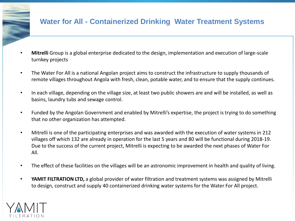## **Water for All - Containerized Drinking Water Treatment Systems**

- **Mitrelli** Group is a global enterprise dedicated to the design, implementation and execution of large-scale turnkey projects
- The Water For All is a national Angolan project aims to construct the infrastructure to supply thousands of remote villages throughout Angola with fresh, clean, potable water, and to ensure that the supply continues.
- In each village, depending on the village size, at least two public showers are and will be installed, as well as basins, laundry tubs and sewage control.
- Funded by the Angolan Government and enabled by Mitrelli's expertise, the project is trying to do something that no other organization has attempted.
- Mitrelli is one of the participating enterprises and was awarded with the execution of water systems in 212 villages off which 132 are already in operation for the last 5 years and 80 will be functional during 2018-19. Due to the success of the current project, Mitrelli is expecting to be awarded the next phases of Water For All.
- The effect of these facilities on the villages will be an astronomic improvement in health and quality of living.
- **YAMIT FILTRATION LTD,** a global provider of water filtration and treatment systems was assigned by Mitrelli to design, construct and supply 40 containerized drinking water systems for the Water For All project.

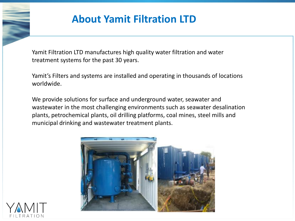# **About Yamit Filtration LTD**

Yamit Filtration LTD manufactures high quality water filtration and water treatment systems for the past 30 years.

Yamit's Filters and systems are installed and operating in thousands of locations worldwide.

We provide solutions for surface and underground water, seawater and wastewater in the most challenging environments such as seawater desalination plants, petrochemical plants, oil drilling platforms, coal mines, steel mills and municipal drinking and wastewater treatment plants.



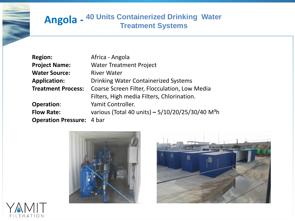## **Angola - 40 Units Containerized Drinking Water Treatment Systems**

| <b>Region:</b>                   | Africa - Angola                                              |
|----------------------------------|--------------------------------------------------------------|
| <b>Project Name:</b>             | <b>Water Treatment Project</b>                               |
| <b>Water Source:</b>             | <b>River Water</b>                                           |
| <b>Application:</b>              | <b>Drinking Water Containerized Systems</b>                  |
| <b>Treatment Process:</b>        | Coarse Screen Filter, Flocculation, Low Media                |
|                                  | Filters, High media Filters, Chlorination.                   |
| <b>Operation:</b>                | Yamit Controller.                                            |
| <b>Flow Rate:</b>                | various (Total 40 units) - 5/10/20/25/30/40 M <sup>3</sup> h |
| <b>Operation Pressure: 4 bar</b> |                                                              |





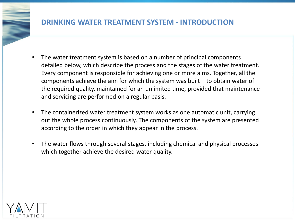## **DRINKING WATER TREATMENT SYSTEM - INTRODUCTION**

- The water treatment system is based on a number of principal components detailed below, which describe the process and the stages of the water treatment. Every component is responsible for achieving one or more aims. Together, all the components achieve the aim for which the system was built – to obtain water of the required quality, maintained for an unlimited time, provided that maintenance and servicing are performed on a regular basis.
- The containerized water treatment system works as one automatic unit, carrying out the whole process continuously. The components of the system are presented according to the order in which they appear in the process.
- The water flows through several stages, including chemical and physical processes which together achieve the desired water quality.

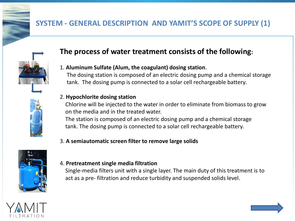# **SYSTEM - GENERAL DESCRIPTION AND YAMIT'S SCOPE OF SUPPLY (1)**



## **The process of water treatment consists of the following:**

### 1. **Aluminum Sulfate (Alum, the coagulant) dosing station**.

 The dosing station is composed of an electric dosing pump and a chemical storage tank. The dosing pump is connected to a solar cell rechargeable battery.

### 2. **Hypochlorite dosing station**

 Chlorine will be injected to the water in order to eliminate from biomass to grow on the media and in the treated water.

 The station is composed of an electric dosing pump and a chemical storage tank. The dosing pump is connected to a solar cell rechargeable battery.

### 3. **A semiautomatic screen filter to remove large solids**



#### 4. **Pretreatment single media filtration**

 Single-media filters unit with a single layer. The main duty of this treatment is to act as a pre- filtration and reduce turbidity and suspended solids level.

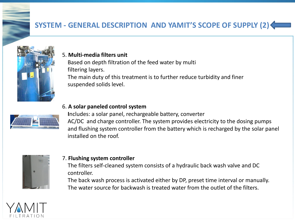# **SYSTEM - GENERAL DESCRIPTION AND YAMIT'S SCOPE OF SUPPLY (2)**



#### 5. **Multi-media filters unit**

Based on depth filtration of the feed water by multi filtering layers. The main duty of this treatment is to further reduce turbidity and finer suspended solids level.

#### 6. **A solar paneled control system**

 **I**ncludes: a solar panel, rechargeable battery, converter AC/DC and charge controller. The system provides electricity to the dosing pumps and flushing system controller from the battery which is recharged by the solar panel installed on the roof.



#### 7. **Flushing system controller**

 The filters self-cleaned system consists of a hydraulic back wash valve and DC controller.

 The back wash process is activated either by DP, preset time interval or manually. The water source for backwash is treated water from the outlet of the filters.

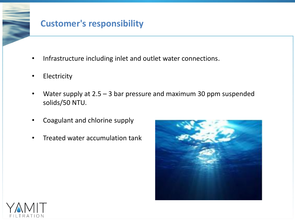# **Customer's responsibility**

- Infrastructure including inlet and outlet water connections.
- **Electricity**
- Water supply at  $2.5 3$  bar pressure and maximum 30 ppm suspended solids/50 NTU.
- Coagulant and chlorine supply
- Treated water accumulation tank



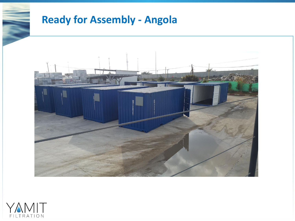# **Ready for Assembly - Angola**